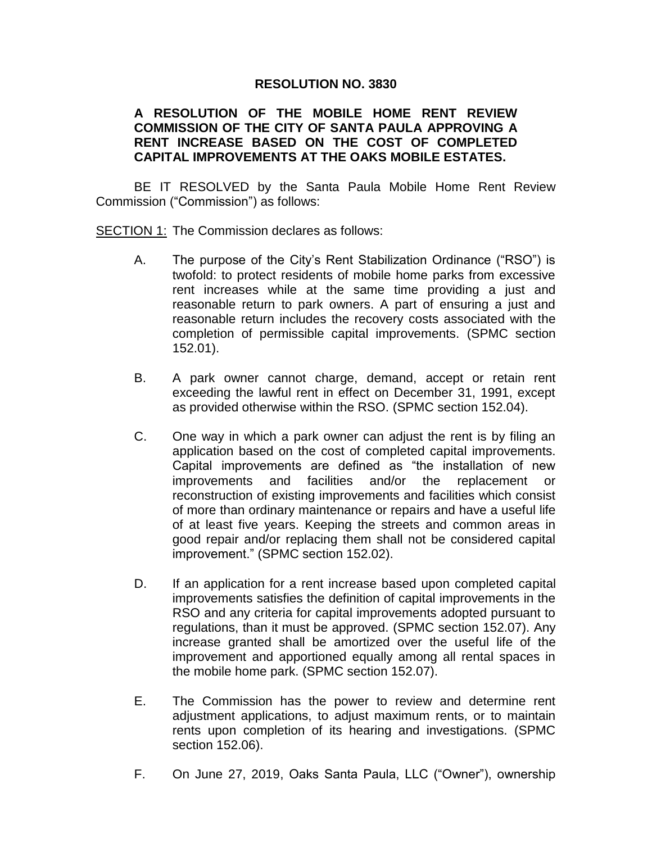## **RESOLUTION NO. 3830**

## **A RESOLUTION OF THE MOBILE HOME RENT REVIEW COMMISSION OF THE CITY OF SANTA PAULA APPROVING A RENT INCREASE BASED ON THE COST OF COMPLETED CAPITAL IMPROVEMENTS AT THE OAKS MOBILE ESTATES.**

BE IT RESOLVED by the Santa Paula Mobile Home Rent Review Commission ("Commission") as follows:

SECTION 1: The Commission declares as follows:

- A. The purpose of the City's Rent Stabilization Ordinance ("RSO") is twofold: to protect residents of mobile home parks from excessive rent increases while at the same time providing a just and reasonable return to park owners. A part of ensuring a just and reasonable return includes the recovery costs associated with the completion of permissible capital improvements. (SPMC section 152.01).
- B. A park owner cannot charge, demand, accept or retain rent exceeding the lawful rent in effect on December 31, 1991, except as provided otherwise within the RSO. (SPMC section 152.04).
- C. One way in which a park owner can adjust the rent is by filing an application based on the cost of completed capital improvements. Capital improvements are defined as "the installation of new improvements and facilities and/or the replacement or reconstruction of existing improvements and facilities which consist of more than ordinary maintenance or repairs and have a useful life of at least five years. Keeping the streets and common areas in good repair and/or replacing them shall not be considered capital improvement." (SPMC section 152.02).
- D. If an application for a rent increase based upon completed capital improvements satisfies the definition of capital improvements in the RSO and any criteria for capital improvements adopted pursuant to regulations, than it must be approved. (SPMC section 152.07). Any increase granted shall be amortized over the useful life of the improvement and apportioned equally among all rental spaces in the mobile home park. (SPMC section 152.07).
- E. The Commission has the power to review and determine rent adjustment applications, to adjust maximum rents, or to maintain rents upon completion of its hearing and investigations. (SPMC section 152.06).
- F. On June 27, 2019, Oaks Santa Paula, LLC ("Owner"), ownership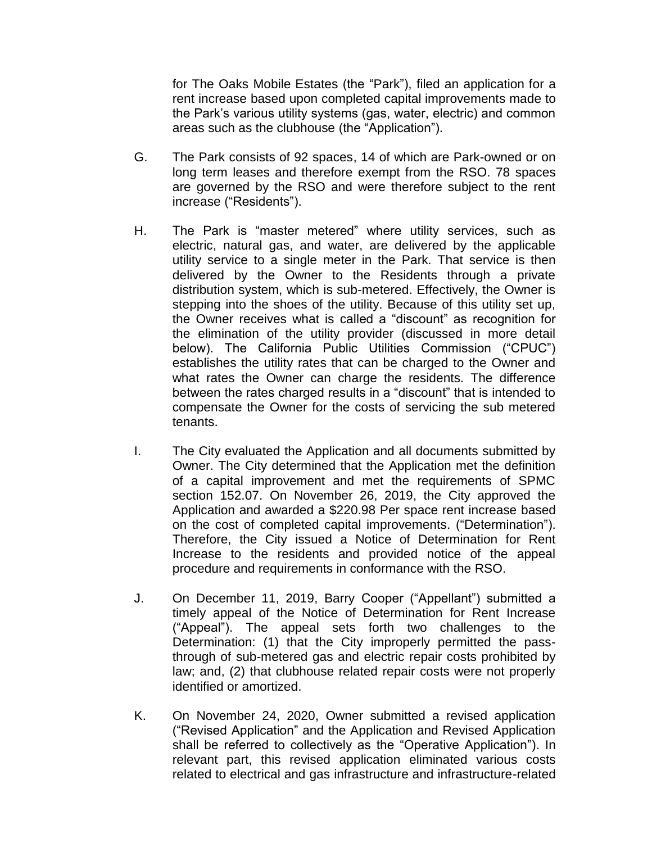for The Oaks Mobile Estates (the "Park"), filed an application for a rent increase based upon completed capital improvements made to the Park's various utility systems (gas, water, electric) and common areas such as the clubhouse (the "Application").

- G. The Park consists of 92 spaces, 14 of which are Park-owned or on long term leases and therefore exempt from the RSO. 78 spaces are governed by the RSO and were therefore subject to the rent increase ("Residents").
- H. The Park is "master metered" where utility services, such as electric, natural gas, and water, are delivered by the applicable utility service to a single meter in the Park. That service is then delivered by the Owner to the Residents through a private distribution system, which is sub-metered. Effectively, the Owner is stepping into the shoes of the utility. Because of this utility set up, the Owner receives what is called a "discount" as recognition for the elimination of the utility provider (discussed in more detail below). The California Public Utilities Commission ("CPUC") establishes the utility rates that can be charged to the Owner and what rates the Owner can charge the residents. The difference between the rates charged results in a "discount" that is intended to compensate the Owner for the costs of servicing the sub metered tenants.
- I. The City evaluated the Application and all documents submitted by Owner. The City determined that the Application met the definition of a capital improvement and met the requirements of SPMC section 152.07. On November 26, 2019, the City approved the Application and awarded a \$220.98 Per space rent increase based on the cost of completed capital improvements. ("Determination"). Therefore, the City issued a Notice of Determination for Rent Increase to the residents and provided notice of the appeal procedure and requirements in conformance with the RSO.
- J. On December 11, 2019, Barry Cooper ("Appellant") submitted a timely appeal of the Notice of Determination for Rent Increase ("Appeal"). The appeal sets forth two challenges to the Determination: (1) that the City improperly permitted the passthrough of sub-metered gas and electric repair costs prohibited by law; and, (2) that clubhouse related repair costs were not properly identified or amortized.
- K. On November 24, 2020, Owner submitted a revised application ("Revised Application" and the Application and Revised Application shall be referred to collectively as the "Operative Application"). In relevant part, this revised application eliminated various costs related to electrical and gas infrastructure and infrastructure-related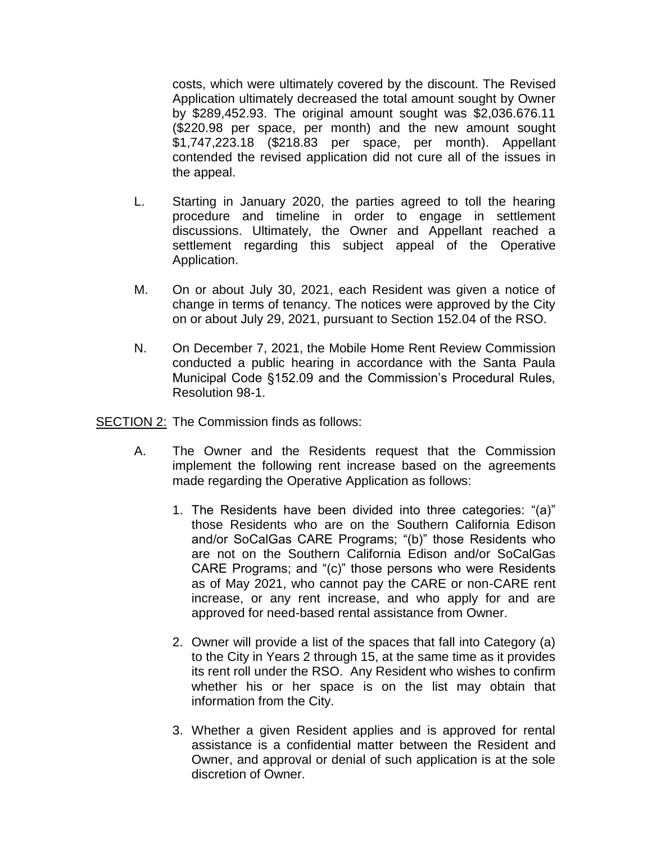costs, which were ultimately covered by the discount. The Revised Application ultimately decreased the total amount sought by Owner by \$289,452.93. The original amount sought was \$2,036.676.11 (\$220.98 per space, per month) and the new amount sought \$1,747,223.18 (\$218.83 per space, per month). Appellant contended the revised application did not cure all of the issues in the appeal.

- L. Starting in January 2020, the parties agreed to toll the hearing procedure and timeline in order to engage in settlement discussions. Ultimately, the Owner and Appellant reached a settlement regarding this subject appeal of the Operative Application.
- M. On or about July 30, 2021, each Resident was given a notice of change in terms of tenancy. The notices were approved by the City on or about July 29, 2021, pursuant to Section 152.04 of the RSO.
- N. On December 7, 2021, the Mobile Home Rent Review Commission conducted a public hearing in accordance with the Santa Paula Municipal Code §152.09 and the Commission's Procedural Rules, Resolution 98-1.

SECTION 2: The Commission finds as follows:

- A. The Owner and the Residents request that the Commission implement the following rent increase based on the agreements made regarding the Operative Application as follows:
	- 1. The Residents have been divided into three categories: "(a)" those Residents who are on the Southern California Edison and/or SoCalGas CARE Programs; "(b)" those Residents who are not on the Southern California Edison and/or SoCalGas CARE Programs; and "(c)" those persons who were Residents as of May 2021, who cannot pay the CARE or non-CARE rent increase, or any rent increase, and who apply for and are approved for need-based rental assistance from Owner.
	- 2. Owner will provide a list of the spaces that fall into Category (a) to the City in Years 2 through 15, at the same time as it provides its rent roll under the RSO. Any Resident who wishes to confirm whether his or her space is on the list may obtain that information from the City.
	- 3. Whether a given Resident applies and is approved for rental assistance is a confidential matter between the Resident and Owner, and approval or denial of such application is at the sole discretion of Owner.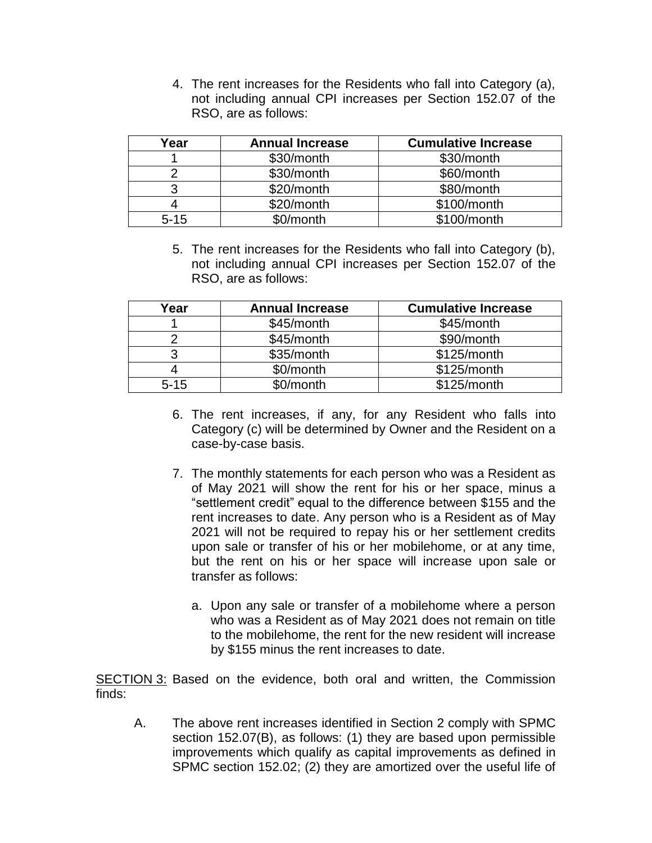4. The rent increases for the Residents who fall into Category (a), not including annual CPI increases per Section 152.07 of the RSO, are as follows:

| Year     | <b>Annual Increase</b> | <b>Cumulative Increase</b> |
|----------|------------------------|----------------------------|
|          | \$30/month             | \$30/month                 |
|          | \$30/month             | \$60/month                 |
| 3        | \$20/month             | \$80/month                 |
|          | \$20/month             | \$100/month                |
| $5 - 15$ | \$0/month              | \$100/month                |

5. The rent increases for the Residents who fall into Category (b), not including annual CPI increases per Section 152.07 of the RSO, are as follows:

| Year     | <b>Annual Increase</b> | <b>Cumulative Increase</b> |
|----------|------------------------|----------------------------|
|          | \$45/month             | \$45/month                 |
|          | \$45/month             | \$90/month                 |
| 3        | \$35/month             | \$125/month                |
|          | \$0/month              | \$125/month                |
| $5 - 15$ | \$0/month              | \$125/month                |

- 6. The rent increases, if any, for any Resident who falls into Category (c) will be determined by Owner and the Resident on a case-by-case basis.
- 7. The monthly statements for each person who was a Resident as of May 2021 will show the rent for his or her space, minus a "settlement credit" equal to the difference between \$155 and the rent increases to date. Any person who is a Resident as of May 2021 will not be required to repay his or her settlement credits upon sale or transfer of his or her mobilehome, or at any time, but the rent on his or her space will increase upon sale or transfer as follows:
	- a. Upon any sale or transfer of a mobilehome where a person who was a Resident as of May 2021 does not remain on title to the mobilehome, the rent for the new resident will increase by \$155 minus the rent increases to date.

SECTION 3: Based on the evidence, both oral and written, the Commission finds:

A. The above rent increases identified in Section 2 comply with SPMC section 152.07(B), as follows: (1) they are based upon permissible improvements which qualify as capital improvements as defined in SPMC section 152.02; (2) they are amortized over the useful life of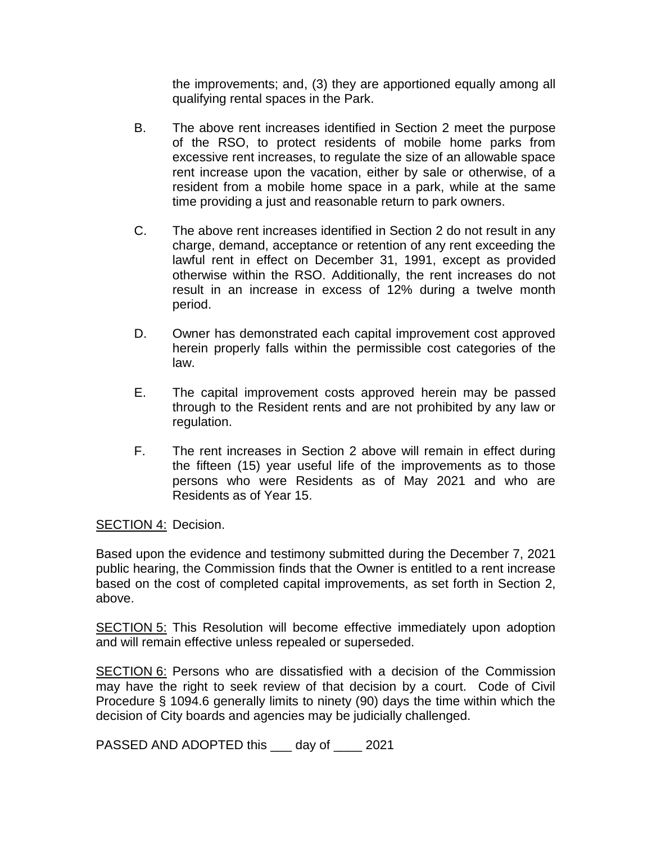the improvements; and, (3) they are apportioned equally among all qualifying rental spaces in the Park.

- B. The above rent increases identified in Section 2 meet the purpose of the RSO, to protect residents of mobile home parks from excessive rent increases, to regulate the size of an allowable space rent increase upon the vacation, either by sale or otherwise, of a resident from a mobile home space in a park, while at the same time providing a just and reasonable return to park owners.
- C. The above rent increases identified in Section 2 do not result in any charge, demand, acceptance or retention of any rent exceeding the lawful rent in effect on December 31, 1991, except as provided otherwise within the RSO. Additionally, the rent increases do not result in an increase in excess of 12% during a twelve month period.
- D. Owner has demonstrated each capital improvement cost approved herein properly falls within the permissible cost categories of the law.
- E. The capital improvement costs approved herein may be passed through to the Resident rents and are not prohibited by any law or regulation.
- F. The rent increases in Section 2 above will remain in effect during the fifteen (15) year useful life of the improvements as to those persons who were Residents as of May 2021 and who are Residents as of Year 15.

SECTION 4: Decision.

Based upon the evidence and testimony submitted during the December 7, 2021 public hearing, the Commission finds that the Owner is entitled to a rent increase based on the cost of completed capital improvements, as set forth in Section 2, above.

SECTION 5: This Resolution will become effective immediately upon adoption and will remain effective unless repealed or superseded.

SECTION 6: Persons who are dissatisfied with a decision of the Commission may have the right to seek review of that decision by a court. Code of Civil Procedure § 1094.6 generally limits to ninety (90) days the time within which the decision of City boards and agencies may be judicially challenged.

PASSED AND ADOPTED this \_\_\_ day of \_\_\_\_ 2021